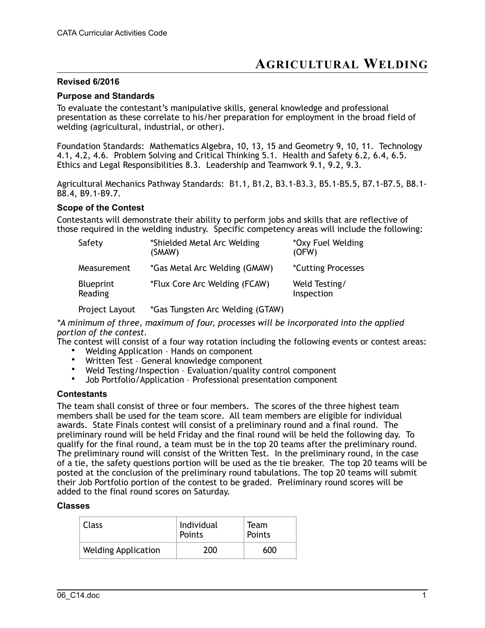# **AGRICULTURAL WELDING**

#### **Revised 6/2016**

#### **Purpose and Standards**

To evaluate the contestant's manipulative skills, general knowledge and professional presentation as these correlate to his/her preparation for employment in the broad field of welding (agricultural, industrial, or other).

Foundation Standards: Mathematics Algebra, 10, 13, 15 and Geometry 9, 10, 11. Technology 4.1, 4.2, 4.6. Problem Solving and Critical Thinking 5.1. Health and Safety 6.2, 6.4, 6.5. Ethics and Legal Responsibilities 8.3. Leadership and Teamwork 9.1, 9.2, 9.3.

Agricultural Mechanics Pathway Standards: B1.1, B1.2, B3.1-B3.3, B5.1-B5.5, B7.1-B7.5, B8.1- B8.4, B9.1-B9.7.

#### **Scope of the Contest**

Contestants will demonstrate their ability to perform jobs and skills that are reflective of those required in the welding industry. Specific competency areas will include the following:

| Safety               | *Shielded Metal Arc Welding<br>(SMAW) | *Oxy Fuel Welding<br>(OFW)  |
|----------------------|---------------------------------------|-----------------------------|
| Measurement          | *Gas Metal Arc Welding (GMAW)         | <i>*Cutting Processes</i>   |
| Blueprint<br>Reading | *Flux Core Arc Welding (FCAW)         | Weld Testing/<br>Inspection |

Project Layout \*Gas Tungsten Arc Welding (GTAW)

*\*A minimum of three, maximum of four, processes will be incorporated into the applied portion of the contest.* 

The contest will consist of a four way rotation including the following events or contest areas:

- Welding Application Hands on component
- Written Test General knowledge component
- Weld Testing/Inspection Evaluation/quality control component
- Job Portfolio/Application Professional presentation component

#### **Contestants**

The team shall consist of three or four members. The scores of the three highest team members shall be used for the team score. All team members are eligible for individual awards. State Finals contest will consist of a preliminary round and a final round. The preliminary round will be held Friday and the final round will be held the following day. To qualify for the final round, a team must be in the top 20 teams after the preliminary round. The preliminary round will consist of the Written Test. In the preliminary round, in the case of a tie, the safety questions portion will be used as the tie breaker. The top 20 teams will be posted at the conclusion of the preliminary round tabulations. The top 20 teams will submit their Job Portfolio portion of the contest to be graded. Preliminary round scores will be added to the final round scores on Saturday.

#### **Classes**

| Class                      | Individual<br>Points | <b>Team</b><br>Points |
|----------------------------|----------------------|-----------------------|
| <b>Welding Application</b> | 200                  | 600                   |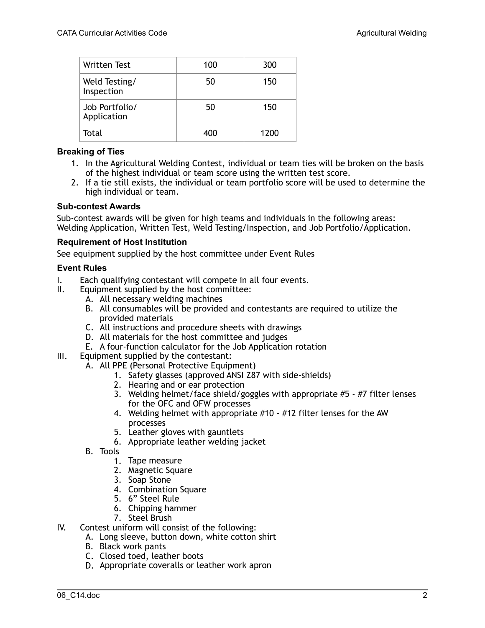| Written Test                  | 100 | 300  |
|-------------------------------|-----|------|
| Weld Testing/<br>Inspection   | 50  | 150  |
| Job Portfolio/<br>Application | 50  | 150  |
| Total                         | 400 | 1200 |

#### **Breaking of Ties**

- 1. In the Agricultural Welding Contest, individual or team ties will be broken on the basis of the highest individual or team score using the written test score.
- 2. If a tie still exists, the individual or team portfolio score will be used to determine the high individual or team.

#### **Sub-contest Awards**

Sub-contest awards will be given for high teams and individuals in the following areas: Welding Application, Written Test, Weld Testing/Inspection, and Job Portfolio/Application.

#### **Requirement of Host Institution**

See equipment supplied by the host committee under Event Rules

#### **Event Rules**

- I. Each qualifying contestant will compete in all four events.
- II. Equipment supplied by the host committee:
	- A. All necessary welding machines
	- B. All consumables will be provided and contestants are required to utilize the provided materials
	- C. All instructions and procedure sheets with drawings
	- D. All materials for the host committee and judges
	- E. A four-function calculator for the Job Application rotation
- III. Equipment supplied by the contestant:
	- A. All PPE (Personal Protective Equipment)
		- 1. Safety glasses (approved ANSI Z87 with side-shields)
		- 2. Hearing and or ear protection
		- 3. Welding helmet/face shield/goggles with appropriate #5 #7 filter lenses for the OFC and OFW processes
		- 4. Welding helmet with appropriate #10 #12 filter lenses for the AW processes
		- 5. Leather gloves with gauntlets
		- 6. Appropriate leather welding jacket
	- B. Tools
		- 1. Tape measure
		- 2. Magnetic Square
		- 3. Soap Stone
		- 4. Combination Square
		- 5. 6" Steel Rule
		- 6. Chipping hammer
		- 7. Steel Brush
- IV. Contest uniform will consist of the following:
	- A. Long sleeve, button down, white cotton shirt
	- B. Black work pants
	- C. Closed toed, leather boots
	- D. Appropriate coveralls or leather work apron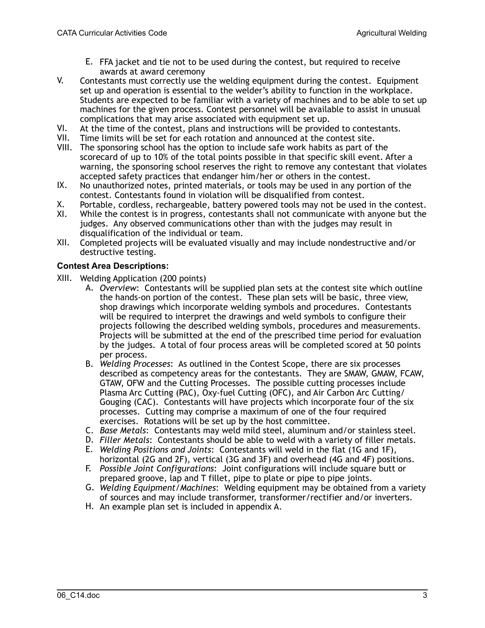- E. FFA jacket and tie not to be used during the contest, but required to receive awards at award ceremony
- V. Contestants must correctly use the welding equipment during the contest. Equipment set up and operation is essential to the welder's ability to function in the workplace. Students are expected to be familiar with a variety of machines and to be able to set up machines for the given process. Contest personnel will be available to assist in unusual complications that may arise associated with equipment set up.
- VI. At the time of the contest, plans and instructions will be provided to contestants.<br>VII. Time limits will be set for each rotation and announced at the contest site.
- Time limits will be set for each rotation and announced at the contest site.
- VIII. The sponsoring school has the option to include safe work habits as part of the scorecard of up to 10% of the total points possible in that specific skill event. After a warning, the sponsoring school reserves the right to remove any contestant that violates accepted safety practices that endanger him/her or others in the contest.
- IX. No unauthorized notes, printed materials, or tools may be used in any portion of the contest. Contestants found in violation will be disqualified from contest.
- X. Portable, cordless, rechargeable, battery powered tools may not be used in the contest.<br>XI. While the contest is in progress, contestants shall not communicate with anyone but the
- While the contest is in progress, contestants shall not communicate with anyone but the judges. Any observed communications other than with the judges may result in disqualification of the individual or team.
- XII. Completed projects will be evaluated visually and may include nondestructive and/or destructive testing.

### **Contest Area Descriptions:**

- XIII. Welding Application (200 points)
	- A. *Overview*: Contestants will be supplied plan sets at the contest site which outline the hands-on portion of the contest. These plan sets will be basic, three view, shop drawings which incorporate welding symbols and procedures. Contestants will be required to interpret the drawings and weld symbols to configure their projects following the described welding symbols, procedures and measurements. Projects will be submitted at the end of the prescribed time period for evaluation by the judges. A total of four process areas will be completed scored at 50 points per process.
	- B. *Welding Processes*: As outlined in the Contest Scope, there are six processes described as competency areas for the contestants. They are SMAW, GMAW, FCAW, GTAW, OFW and the Cutting Processes. The possible cutting processes include Plasma Arc Cutting (PAC), Oxy-fuel Cutting (OFC), and Air Carbon Arc Cutting/ Gouging (CAC). Contestants will have projects which incorporate four of the six processes. Cutting may comprise a maximum of one of the four required exercises. Rotations will be set up by the host committee.
	- C. *Base Metals*: Contestants may weld mild steel, aluminum and/or stainless steel.
	- D. *Filler Metals*: Contestants should be able to weld with a variety of filler metals.
	- E. *Welding Positions and Joints*: Contestants will weld in the flat (1G and 1F), horizontal (2G and 2F), vertical (3G and 3F) and overhead (4G and 4F) positions.
	- F. *Possible Joint Configurations*: Joint configurations will include square butt or prepared groove, lap and T fillet, pipe to plate or pipe to pipe joints.
	- G. *Welding Equipment/Machines*: Welding equipment may be obtained from a variety of sources and may include transformer, transformer/rectifier and/or inverters.
	- H. An example plan set is included in appendix A.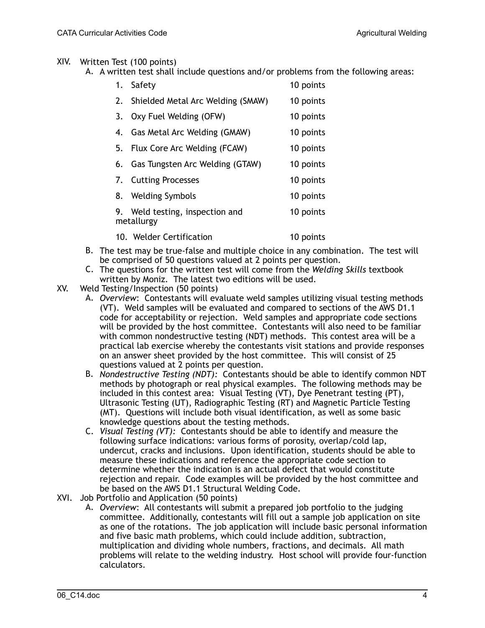#### XIV. Written Test (100 points)

A. A written test shall include questions and/or problems from the following areas:

|    | 1. Safety                                     | 10 points |
|----|-----------------------------------------------|-----------|
|    | 2. Shielded Metal Arc Welding (SMAW)          | 10 points |
|    | 3. Oxy Fuel Welding (OFW)                     | 10 points |
|    | 4. Gas Metal Arc Welding (GMAW)               | 10 points |
|    | 5. Flux Core Arc Welding (FCAW)               | 10 points |
|    | 6. Gas Tungsten Arc Welding (GTAW)            | 10 points |
|    | 7. Cutting Processes                          | 10 points |
| 8. | <b>Welding Symbols</b>                        | 10 points |
|    | 9. Weld testing, inspection and<br>metallurgy | 10 points |
|    | 10. Welder Certification                      | 10 points |

- B. The test may be true-false and multiple choice in any combination. The test will be comprised of 50 questions valued at 2 points per question.
- C. The questions for the written test will come from the *Welding Skills* textbook written by Moniz. The latest two editions will be used.
- XV. Weld Testing/Inspection (50 points)
	- A. *Overview*: Contestants will evaluate weld samples utilizing visual testing methods (VT). Weld samples will be evaluated and compared to sections of the AWS D1.1 code for acceptability or rejection. Weld samples and appropriate code sections will be provided by the host committee. Contestants will also need to be familiar with common nondestructive testing (NDT) methods. This contest area will be a practical lab exercise whereby the contestants visit stations and provide responses on an answer sheet provided by the host committee. This will consist of 25 questions valued at 2 points per question.
	- B. *Nondestructive Testing (NDT):* Contestants should be able to identify common NDT methods by photograph or real physical examples. The following methods may be included in this contest area: Visual Testing (VT), Dye Penetrant testing (PT), Ultrasonic Testing (UT), Radiographic Testing (RT) and Magnetic Particle Testing (MT). Questions will include both visual identification, as well as some basic knowledge questions about the testing methods.
	- C. *Visual Testing (VT):* Contestants should be able to identify and measure the following surface indications: various forms of porosity, overlap/cold lap, undercut, cracks and inclusions. Upon identification, students should be able to measure these indications and reference the appropriate code section to determine whether the indication is an actual defect that would constitute rejection and repair. Code examples will be provided by the host committee and be based on the AWS D1.1 Structural Welding Code.
- XVI. Job Portfolio and Application (50 points)
	- A. *Overview*: All contestants will submit a prepared job portfolio to the judging committee. Additionally, contestants will fill out a sample job application on site as one of the rotations. The job application will include basic personal information and five basic math problems, which could include addition, subtraction, multiplication and dividing whole numbers, fractions, and decimals. All math problems will relate to the welding industry. Host school will provide four-function calculators.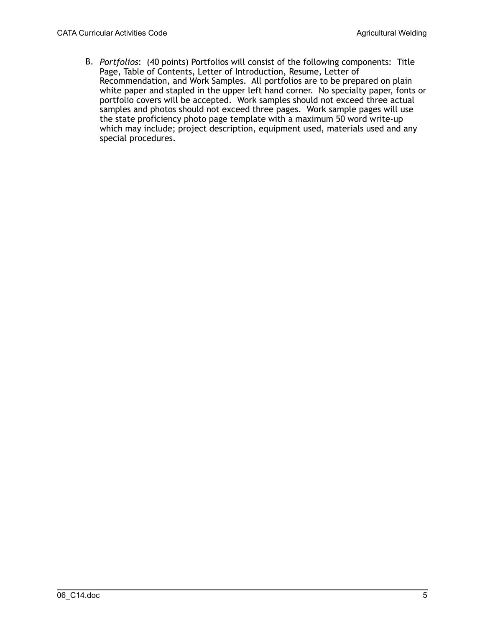B. *Portfolios*: (40 points) Portfolios will consist of the following components: Title Page, Table of Contents, Letter of Introduction, Resume, Letter of Recommendation, and Work Samples. All portfolios are to be prepared on plain white paper and stapled in the upper left hand corner. No specialty paper, fonts or portfolio covers will be accepted. Work samples should not exceed three actual samples and photos should not exceed three pages. Work sample pages will use the state proficiency photo page template with a maximum 50 word write-up which may include; project description, equipment used, materials used and any special procedures.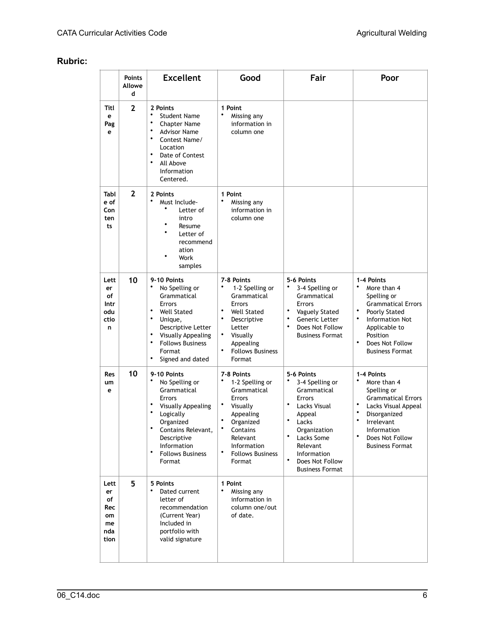# **Rubric:**

|                                                    | Points<br>Allowe<br>d | <b>Excellent</b>                                                                                                                                                                                                                                                          | Good                                                                                                                                                                                    | Fair                                                                                                                                                                                                                                  | Poor                                                                                                                                                                                                                                           |
|----------------------------------------------------|-----------------------|---------------------------------------------------------------------------------------------------------------------------------------------------------------------------------------------------------------------------------------------------------------------------|-----------------------------------------------------------------------------------------------------------------------------------------------------------------------------------------|---------------------------------------------------------------------------------------------------------------------------------------------------------------------------------------------------------------------------------------|------------------------------------------------------------------------------------------------------------------------------------------------------------------------------------------------------------------------------------------------|
| Titl<br>e<br>Pag<br>е                              | $\overline{2}$        | 2 Points<br><b>Student Name</b><br>$\bullet$<br>٠<br><b>Chapter Name</b><br>$\bullet$<br><b>Advisor Name</b><br>$\bullet$<br>Contest Name/<br>Location<br>$\bullet$<br>Date of Contest<br>$\bullet$<br>All Above<br>Information<br>Centered.                              | 1 Point<br>$\bullet$<br>Missing any<br>information in<br>column one                                                                                                                     |                                                                                                                                                                                                                                       |                                                                                                                                                                                                                                                |
| Tabl<br>e of<br>Con<br>ten<br>ts                   | $\overline{2}$        | 2 Points<br>$\bullet$<br>Must Include-<br>Letter of<br>intro<br>Resume<br>Letter of<br>recommend<br>ation<br>Work<br>samples                                                                                                                                              | 1 Point<br>$\bullet$<br>Missing any<br>information in<br>column one                                                                                                                     |                                                                                                                                                                                                                                       |                                                                                                                                                                                                                                                |
| Lett<br>er<br>оf<br>Intr<br>odu<br>ctio<br>n       | 10                    | 9-10 Points<br>٠<br>No Spelling or<br>Grammatical<br><b>Errors</b><br>$\bullet$<br><b>Well Stated</b><br>$\bullet$<br>Unique,<br>Descriptive Letter<br>$\bullet$<br>Visually Appealing<br>$\bullet$<br><b>Follows Business</b><br>Format<br>$\bullet$<br>Signed and dated | 7-8 Points<br>1-2 Spelling or<br>Grammatical<br><b>Errors</b><br>$\bullet$<br><b>Well Stated</b><br>Descriptive<br>Letter<br>Visually<br>Appealing<br><b>Follows Business</b><br>Format | 5-6 Points<br>3-4 Spelling or<br>Grammatical<br><b>Errors</b><br>$\bullet$<br>Vaguely Stated<br>Generic Letter<br>Does Not Follow<br><b>Business Format</b>                                                                           | 1-4 Points<br>$\bullet$<br>More than 4<br>Spelling or<br><b>Grammatical Errors</b><br>$\bullet$<br>Poorly Stated<br>$\bullet$<br><b>Information Not</b><br>Applicable to<br>Position<br>$\bullet$<br>Does Not Follow<br><b>Business Format</b> |
| <b>Res</b><br>um<br>e                              | 10                    | 9-10 Points<br>No Spelling or<br>Grammatical<br><b>Errors</b><br>٠<br>Visually Appealing<br>$\bullet$<br>Logically<br>Organized<br>Contains Relevant,<br>Descriptive<br>Information<br>٠<br><b>Follows Business</b><br>Format                                             | 7-8 Points<br>1-2 Spelling or<br>Grammatical<br><b>Errors</b><br>Visually<br>Appealing<br>Organized<br>Contains<br>Relevant<br>Information<br><b>Follows Business</b><br>Format         | 5-6 Points<br>3-4 Spelling or<br>Grammatical<br><b>Errors</b><br>٠<br>Lacks Visual<br>Appeal<br>Lacks<br>Organization<br>$\bullet$<br>Lacks Some<br>Relevant<br>Information<br>$\bullet$<br>Does Not Follow<br><b>Business Format</b> | 1-4 Points<br>More than 4<br>Spelling or<br><b>Grammatical Errors</b><br>٠<br>Lacks Visual Appeal<br>$\bullet$<br>Disorganized<br>$\bullet$<br>Irrelevant<br>Information<br>$\bullet$<br>Does Not Follow<br><b>Business Format</b>             |
| Lett<br>er<br>of<br>Rec<br>om<br>me<br>nda<br>tion | 5                     | 5 Points<br>$\bullet$<br>Dated current<br>letter of<br>recommendation<br>(Current Year)<br>Included in<br>portfolio with<br>valid signature                                                                                                                               | 1 Point<br>$\bullet$<br>Missing any<br>information in<br>column one/out<br>of date.                                                                                                     |                                                                                                                                                                                                                                       |                                                                                                                                                                                                                                                |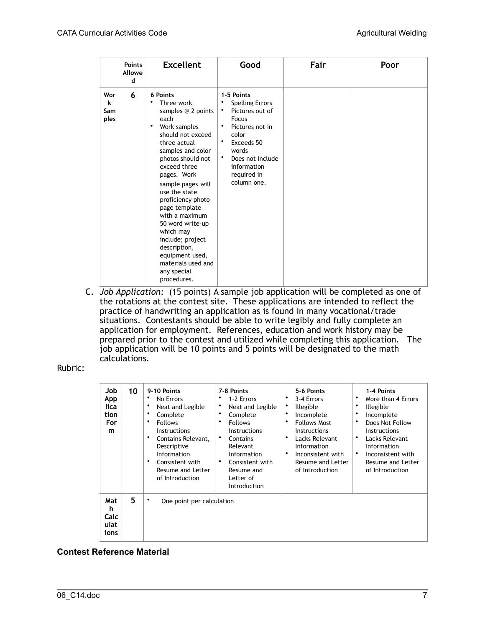|                         | <b>Points</b><br>Allowe<br>d | <b>Excellent</b>                                                                                                                                                                                                                                                                                                                                                                                                                         | Good                                                                                                                                                                                                     | Fair | Poor |
|-------------------------|------------------------------|------------------------------------------------------------------------------------------------------------------------------------------------------------------------------------------------------------------------------------------------------------------------------------------------------------------------------------------------------------------------------------------------------------------------------------------|----------------------------------------------------------------------------------------------------------------------------------------------------------------------------------------------------------|------|------|
| Wor<br>k<br>Sam<br>ples | 6                            | <b>6 Points</b><br>Three work<br>samples @ 2 points<br>each<br>٠<br>Work samples<br>should not exceed<br>three actual<br>samples and color<br>photos should not<br>exceed three<br>pages. Work<br>sample pages will<br>use the state<br>proficiency photo<br>page template<br>with a maximum<br>50 word write-up<br>which may<br>include; project<br>description,<br>equipment used,<br>materials used and<br>any special<br>procedures. | 1-5 Points<br><b>Spelling Errors</b><br>Pictures out of<br>٠<br>Focus<br>٠<br>Pictures not in<br>color<br>٠<br>Exceeds 50<br>words<br>Does not include<br>٠<br>information<br>required in<br>column one. |      |      |

C. *Job Application:* (15 points) A sample job application will be completed as one of the rotations at the contest site. These applications are intended to reflect the practice of handwriting an application as is found in many vocational/trade situations. Contestants should be able to write legibly and fully complete an application for employment. References, education and work history may be prepared prior to the contest and utilized while completing this application. The job application will be 10 points and 5 points will be designated to the math calculations.

#### Rubric:

| Job<br>App<br>lica<br>tion<br>For<br>m | 10 | 9-10 Points<br>No Errors<br>Neat and Legible<br>Complete<br><b>Follows</b><br><b>Instructions</b><br>Contains Relevant,<br>Descriptive<br>Information<br>٠<br>Consistent with<br>Resume and Letter<br>of Introduction | 7-8 Points<br>1-2 Errors<br>Neat and Legible<br>٠<br>Complete<br><b>Follows</b><br>٠<br><b>Instructions</b><br>٠<br>Contains<br>Relevant<br>Information<br>٠<br>Consistent with<br>Resume and<br>Letter of<br>Introduction | 5-6 Points<br>3-4 Errors<br>٠<br>٠<br><b>Illegible</b><br>$\bullet$<br>Incomplete<br><b>Follows Most</b><br>٠<br><b>Instructions</b><br>$\bullet$<br>Lacks Relevant<br>Information<br>٠<br>Inconsistent with<br>Resume and Letter<br>of Introduction | 1-4 Points<br>More than 4 Errors<br>$\bullet$<br>$\bullet$<br>Illegible<br>$\bullet$<br>Incomplete<br>Does Not Follow<br>$\bullet$<br><b>Instructions</b><br>$\bullet$<br>Lacks Relevant<br>Information<br>$\bullet$<br>Inconsistent with<br>Resume and Letter<br>of Introduction |
|----------------------------------------|----|-----------------------------------------------------------------------------------------------------------------------------------------------------------------------------------------------------------------------|----------------------------------------------------------------------------------------------------------------------------------------------------------------------------------------------------------------------------|------------------------------------------------------------------------------------------------------------------------------------------------------------------------------------------------------------------------------------------------------|-----------------------------------------------------------------------------------------------------------------------------------------------------------------------------------------------------------------------------------------------------------------------------------|
| Mat<br>h<br>Calc<br>ulat<br>ions       | 5  | One point per calculation                                                                                                                                                                                             |                                                                                                                                                                                                                            |                                                                                                                                                                                                                                                      |                                                                                                                                                                                                                                                                                   |

## **Contest Reference Material**